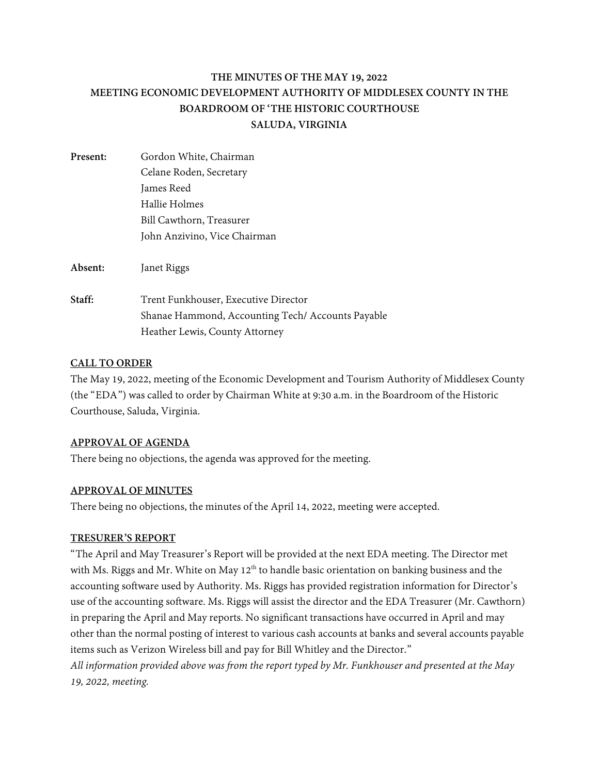# **THE MINUTES OF THE MAY 19, 2022 MEETING ECONOMIC DEVELOPMENT AUTHORITY OF MIDDLESEX COUNTY IN THE BOARDROOM OF 'THE HISTORIC COURTHOUSE SALUDA, VIRGINIA**

| Present: | Gordon White, Chairman                            |
|----------|---------------------------------------------------|
|          | Celane Roden, Secretary                           |
|          | James Reed                                        |
|          | Hallie Holmes                                     |
|          | Bill Cawthorn, Treasurer                          |
|          | John Anzivino, Vice Chairman                      |
| Absent:  | Janet Riggs                                       |
| Staff:   | Trent Funkhouser, Executive Director              |
|          | Shanae Hammond, Accounting Tech/ Accounts Payable |
|          | Heather Lewis, County Attorney                    |

# **CALL TO ORDER**

The May 19, 2022, meeting of the Economic Development and Tourism Authority of Middlesex County (the "EDA") was called to order by Chairman White at 9:30 a.m. in the Boardroom of the Historic Courthouse, Saluda, Virginia.

## **APPROVAL OF AGENDA**

There being no objections, the agenda was approved for the meeting.

# **APPROVAL OF MINUTES**

There being no objections, the minutes of the April 14, 2022, meeting were accepted.

## **TRESURER'S REPORT**

"The April and May Treasurer's Report will be provided at the next EDA meeting. The Director met with Ms. Riggs and Mr. White on May 12<sup>th</sup> to handle basic orientation on banking business and the accounting software used by Authority. Ms. Riggs has provided registration information for Director's use of the accounting software. Ms. Riggs will assist the director and the EDA Treasurer (Mr. Cawthorn) in preparing the April and May reports. No significant transactions have occurred in April and may other than the normal posting of interest to various cash accounts at banks and several accounts payable items such as Verizon Wireless bill and pay for Bill Whitley and the Director."

*All information provided above was from the report typed by Mr. Funkhouser and presented at the May 19, 2022, meeting.*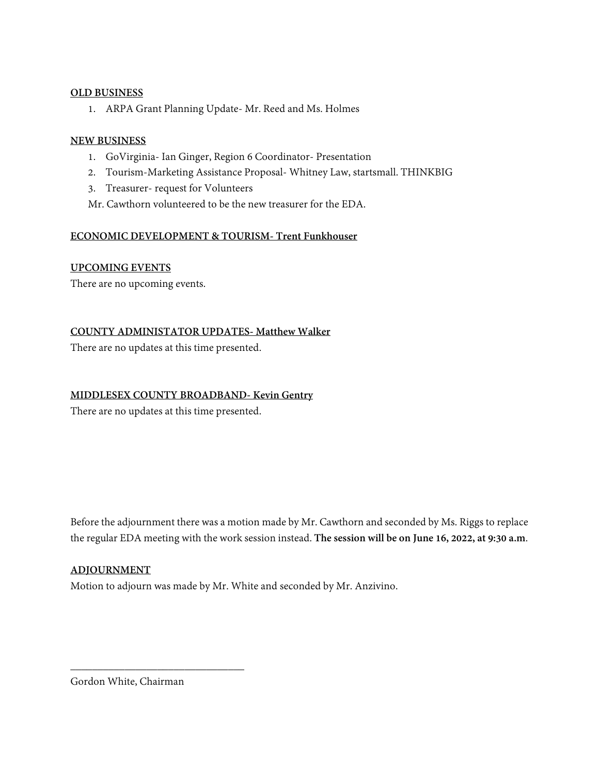## **OLD BUSINESS**

1. ARPA Grant Planning Update- Mr. Reed and Ms. Holmes

## **NEW BUSINESS**

- 1. GoVirginia- Ian Ginger, Region 6 Coordinator- Presentation
- 2. Tourism-Marketing Assistance Proposal- Whitney Law, startsmall. THINKBIG
- 3. Treasurer- request for Volunteers
- Mr. Cawthorn volunteered to be the new treasurer for the EDA.

# **ECONOMIC DEVELOPMENT & TOURISM- Trent Funkhouser**

# **UPCOMING EVENTS**

There are no upcoming events.

**COUNTY ADMINISTATOR UPDATES- Matthew Walker**

There are no updates at this time presented.

# **MIDDLESEX COUNTY BROADBAND- Kevin Gentry**

There are no updates at this time presented.

Before the adjournment there was a motion made by Mr. Cawthorn and seconded by Ms. Riggs to replace the regular EDA meeting with the work session instead. **The session will be on June 16, 2022, at 9:30 a.m**.

# **ADJOURNMENT**

Motion to adjourn was made by Mr. White and seconded by Mr. Anzivino.

Gordon White, Chairman

\_\_\_\_\_\_\_\_\_\_\_\_\_\_\_\_\_\_\_\_\_\_\_\_\_\_\_\_\_\_\_\_